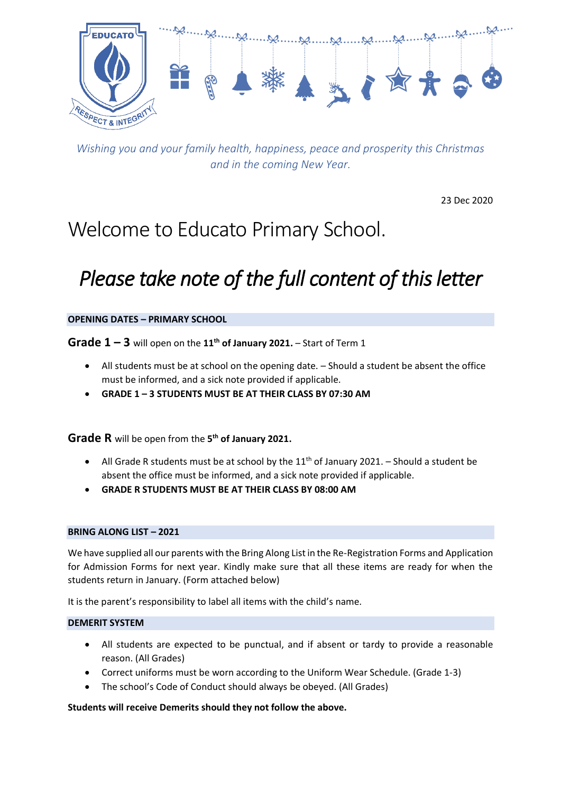

*Wishing you and your family health, happiness, peace and prosperity this Christmas and in the coming New Year.*

23 Dec 2020

# Welcome to Educato Primary School.

# *Please take note of the full content of this letter*

## **OPENING DATES – PRIMARY SCHOOL**

**Grade 1 – 3** will open on the **11th of January 2021.** – Start of Term 1

- All students must be at school on the opening date. Should a student be absent the office must be informed, and a sick note provided if applicable.
- **GRADE 1 – 3 STUDENTS MUST BE AT THEIR CLASS BY 07:30 AM**

**Grade R** will be open from the **5 th of January 2021.**

- All Grade R students must be at school by the  $11<sup>th</sup>$  of January 2021. Should a student be absent the office must be informed, and a sick note provided if applicable.
- **GRADE R STUDENTS MUST BE AT THEIR CLASS BY 08:00 AM**

## **BRING ALONG LIST – 2021**

We have supplied all our parents with the Bring Along List in the Re-Registration Forms and Application for Admission Forms for next year. Kindly make sure that all these items are ready for when the students return in January. (Form attached below)

It is the parent's responsibility to label all items with the child's name.

## **DEMERIT SYSTEM**

- All students are expected to be punctual, and if absent or tardy to provide a reasonable reason. (All Grades)
- Correct uniforms must be worn according to the Uniform Wear Schedule. (Grade 1-3)
- The school's Code of Conduct should always be obeyed. (All Grades)

**Students will receive Demerits should they not follow the above.**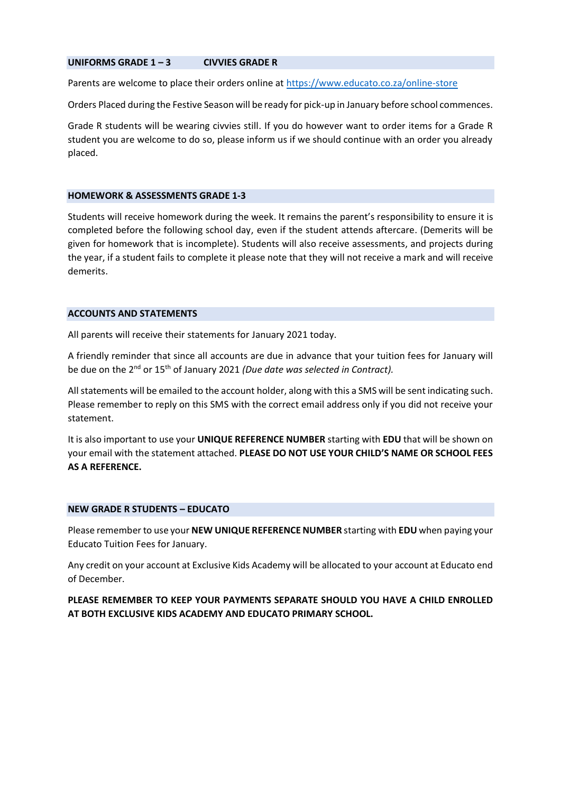### **UNIFORMS GRADE 1 – 3 CIVVIES GRADE R**

Parents are welcome to place their orders online at<https://www.educato.co.za/online-store>

Orders Placed during the Festive Season will be ready for pick-up in January before school commences.

Grade R students will be wearing civvies still. If you do however want to order items for a Grade R student you are welcome to do so, please inform us if we should continue with an order you already placed.

#### **HOMEWORK & ASSESSMENTS GRADE 1-3**

Students will receive homework during the week. It remains the parent's responsibility to ensure it is completed before the following school day, even if the student attends aftercare. (Demerits will be given for homework that is incomplete). Students will also receive assessments, and projects during the year, if a student fails to complete it please note that they will not receive a mark and will receive demerits.

## **ACCOUNTS AND STATEMENTS**

All parents will receive their statements for January 2021 today.

A friendly reminder that since all accounts are due in advance that your tuition fees for January will be due on the 2nd or 15th of January 2021 *(Due date was selected in Contract).*

All statements will be emailed to the account holder, along with this a SMS will be sent indicating such. Please remember to reply on this SMS with the correct email address only if you did not receive your statement.

It is also important to use your **UNIQUE REFERENCE NUMBER** starting with **EDU** that will be shown on your email with the statement attached. **PLEASE DO NOT USE YOUR CHILD'S NAME OR SCHOOL FEES AS A REFERENCE.**

## **NEW GRADE R STUDENTS – EDUCATO**

Please remember to use your **NEW UNIQUE REFERENCE NUMBER** starting with **EDU** when paying your Educato Tuition Fees for January.

Any credit on your account at Exclusive Kids Academy will be allocated to your account at Educato end of December.

**PLEASE REMEMBER TO KEEP YOUR PAYMENTS SEPARATE SHOULD YOU HAVE A CHILD ENROLLED AT BOTH EXCLUSIVE KIDS ACADEMY AND EDUCATO PRIMARY SCHOOL.**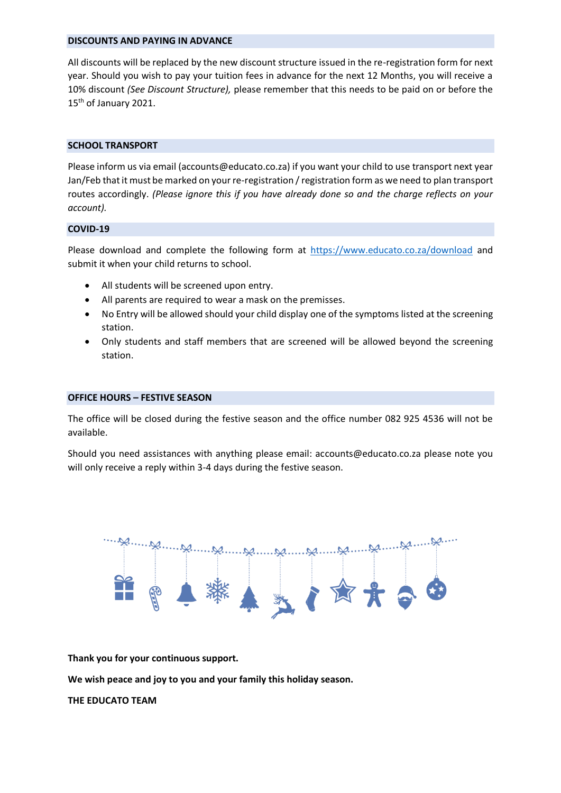#### **DISCOUNTS AND PAYING IN ADVANCE**

All discounts will be replaced by the new discount structure issued in the re-registration form for next year. Should you wish to pay your tuition fees in advance for the next 12 Months, you will receive a 10% discount *(See Discount Structure),* please remember that this needs to be paid on or before the 15<sup>th</sup> of January 2021.

#### **SCHOOL TRANSPORT**

Please inform us via email (accounts@educato.co.za) if you want your child to use transport next year Jan/Feb that it must be marked on your re-registration / registration form as we need to plan transport routes accordingly. *(Please ignore this if you have already done so and the charge reflects on your account).*

#### **COVID-19**

Please download and complete the following form at<https://www.educato.co.za/download> and submit it when your child returns to school.

- All students will be screened upon entry.
- All parents are required to wear a mask on the premisses.
- No Entry will be allowed should your child display one of the symptoms listed at the screening station.
- Only students and staff members that are screened will be allowed beyond the screening station.

## **OFFICE HOURS – FESTIVE SEASON**

The office will be closed during the festive season and the office number 082 925 4536 will not be available.

Should you need assistances with anything please email: accounts@educato.co.za please note you will only receive a reply within 3-4 days during the festive season.



**Thank you for your continuous support.**

**We wish peace and joy to you and your family this holiday season.**

**THE EDUCATO TEAM**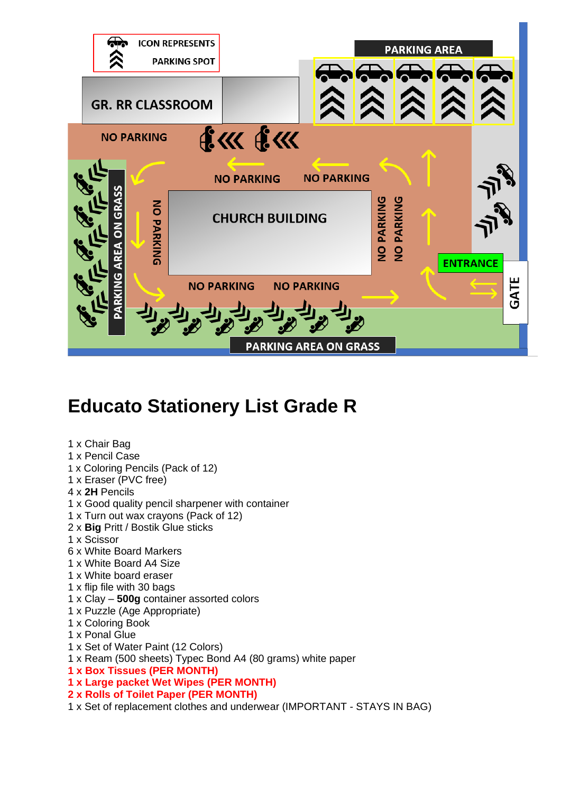

## **Educato Stationery List Grade R**

## 1 x Chair Bag 1 x Pencil Case 1 x Coloring Pencils (Pack of 12) 1 x Eraser (PVC free) 4 x **2H** Pencils 1 x Good quality pencil sharpener with container 1 x Turn out wax crayons (Pack of 12) 2 x **Big** Pritt / Bostik Glue sticks 1 x Scissor 6 x White Board Markers 1 x White Board A4 Size 1 x White board eraser 1 x flip file with 30 bags 1 x Clay – **500g** container assorted colors 1 x Puzzle (Age Appropriate) 1 x Coloring Book 1 x Ponal Glue 1 x Set of Water Paint (12 Colors) 1 x Ream (500 sheets) Typec Bond A4 (80 grams) white paper **1 x Box Tissues (PER MONTH) 1 x Large packet Wet Wipes (PER MONTH) 2 x Rolls of Toilet Paper (PER MONTH)**

1 x Set of replacement clothes and underwear (IMPORTANT - STAYS IN BAG)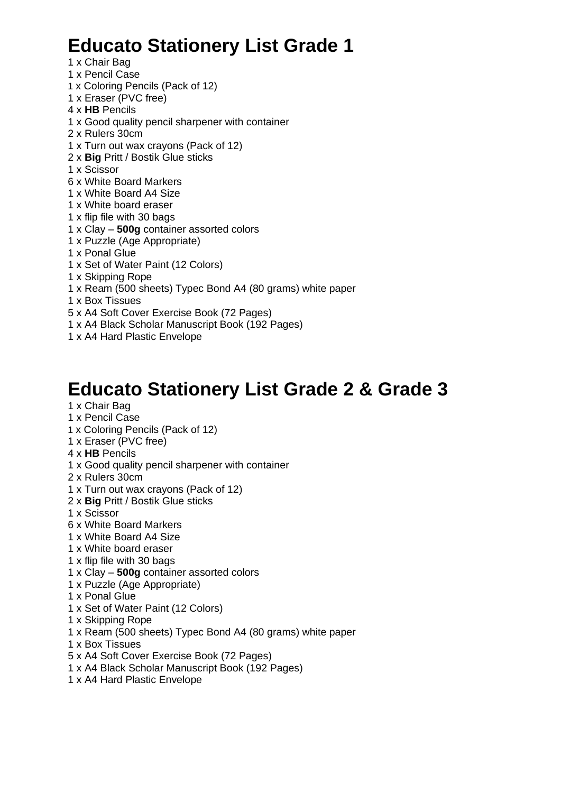## **Educato Stationery List Grade 1**

- 1 x Chair Bag
- 1 x Pencil Case
- 1 x Coloring Pencils (Pack of 12)
- 1 x Eraser (PVC free) 4 x **HB** Pencils
- 1 x Good quality pencil sharpener with container
- 2 x Rulers 30cm
- 1 x Turn out wax crayons (Pack of 12)
- 2 x **Big** Pritt / Bostik Glue sticks
- 1 x Scissor
- 6 x White Board Markers
- 1 x White Board A4 Size
- 1 x White board eraser
- 1 x flip file with 30 bags
- 1 x Clay **500g** container assorted colors
- 1 x Puzzle (Age Appropriate)
- 1 x Ponal Glue
- 1 x Set of Water Paint (12 Colors)
- 1 x Skipping Rope
- 1 x Ream (500 sheets) Typec Bond A4 (80 grams) white paper
- 1 x Box Tissues
- 5 x A4 Soft Cover Exercise Book (72 Pages)
- 1 x A4 Black Scholar Manuscript Book (192 Pages)
- 1 x A4 Hard Plastic Envelope

## **Educato Stationery List Grade 2 & Grade 3**

- 1 x Chair Bag
- 1 x Pencil Case
- 1 x Coloring Pencils (Pack of 12)
- 1 x Eraser (PVC free)
- 4 x **HB** Pencils
- 1 x Good quality pencil sharpener with container
- 2 x Rulers 30cm
- 1 x Turn out wax crayons (Pack of 12)
- 2 x **Big** Pritt / Bostik Glue sticks
- 1 x Scissor
- 6 x White Board Markers
- 1 x White Board A4 Size
- 1 x White board eraser
- 1 x flip file with 30 bags
- 1 x Clay **500g** container assorted colors
- 1 x Puzzle (Age Appropriate)
- 1 x Ponal Glue
- 1 x Set of Water Paint (12 Colors)
- 1 x Skipping Rope
- 1 x Ream (500 sheets) Typec Bond A4 (80 grams) white paper
- 1 x Box Tissues
- 5 x A4 Soft Cover Exercise Book (72 Pages)
- 1 x A4 Black Scholar Manuscript Book (192 Pages)
- 1 x A4 Hard Plastic Envelope